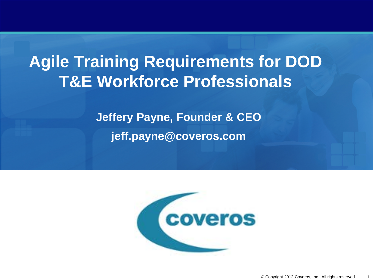# **Agile Training Requirements for DOD T&E Workforce Professionals**

**Jeffery Payne, Founder & CEO jeff.payne@coveros.com**

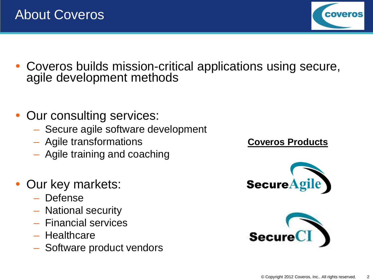- Coveros builds mission-critical applications using secure, agile development methods
- Our consulting services:
	- Secure agile software development
	- Agile transformations
	- Agile training and coaching
- Our key markets:
	- Defense
	- National security
	- Financial services
	- Healthcare
	- Software product vendors

#### **Coveros Products**





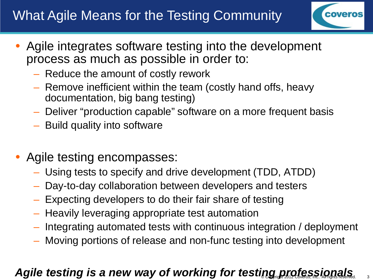### What Agile Means for the Testing Community



- Agile integrates software testing into the development process as much as possible in order to:
	- Reduce the amount of costly rework
	- Remove inefficient within the team (costly hand offs, heavy documentation, big bang testing)
	- Deliver "production capable" software on a more frequent basis
	- Build quality into software
- Agile testing encompasses:
	- Using tests to specify and drive development (TDD, ATDD)
	- Day-to-day collaboration between developers and testers
	- Expecting developers to do their fair share of testing
	- Heavily leveraging appropriate test automation
	- Integrating automated tests with continuous integration / deployment
	- Moving portions of release and non-func testing into development

#### Agile testing is a new way of working for testing professionals and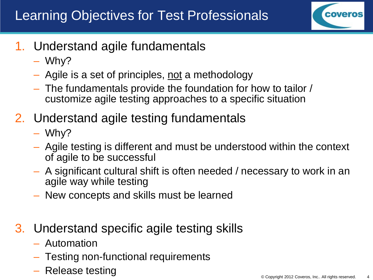#### Learning Objectives for Test Professionals



- 1. Understand agile fundamentals
	- Why?
	- Agile is a set of principles, not a methodology
	- The fundamentals provide the foundation for how to tailor / customize agile testing approaches to a specific situation
- 2. Understand agile testing fundamentals
	- Why?
	- Agile testing is different and must be understood within the context of agile to be successful
	- A significant cultural shift is often needed / necessary to work in an agile way while testing
	- New concepts and skills must be learned
- 3. Understand specific agile testing skills
	- Automation
	- Testing non-functional requirements
	- Release testing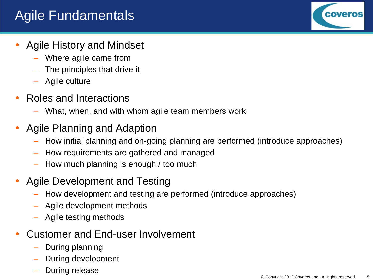#### Agile Fundamentals



- Agile History and Mindset
	- Where agile came from
	- The principles that drive it
	- Agile culture
- Roles and Interactions
	- What, when, and with whom agile team members work
- Agile Planning and Adaption
	- How initial planning and on-going planning are performed (introduce approaches)
	- How requirements are gathered and managed
	- How much planning is enough / too much
- Agile Development and Testing
	- How development and testing are performed (introduce approaches)
	- Agile development methods
	- Agile testing methods
- Customer and End-user Involvement
	- During planning
	- During development
	- During release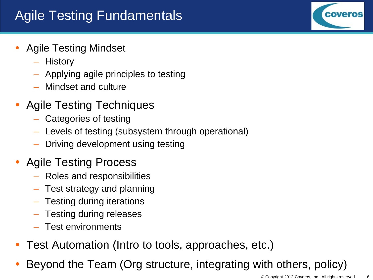#### Agile Testing Fundamentals

- Agile Testing Mindset
	- History
	- Applying agile principles to testing
	- Mindset and culture
- Agile Testing Techniques
	- Categories of testing
	- Levels of testing (subsystem through operational)
	- Driving development using testing
- Agile Testing Process
	- Roles and responsibilities
	- Test strategy and planning
	- Testing during iterations
	- Testing during releases
	- Test environments
- Test Automation (Intro to tools, approaches, etc.)
- Beyond the Team (Org structure, integrating with others, policy)

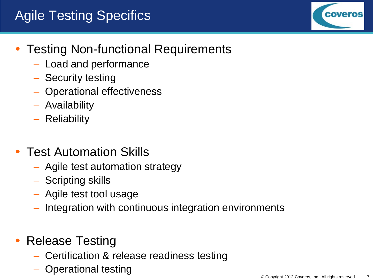#### Agile Testing Specifics



- Testing Non-functional Requirements
	- Load and performance
	- Security testing
	- Operational effectiveness
	- Availability
	- Reliability
- Test Automation Skills
	- Agile test automation strategy
	- Scripting skills
	- Agile test tool usage
	- Integration with continuous integration environments
- Release Testing
	- Certification & release readiness testing
	- Operational testing